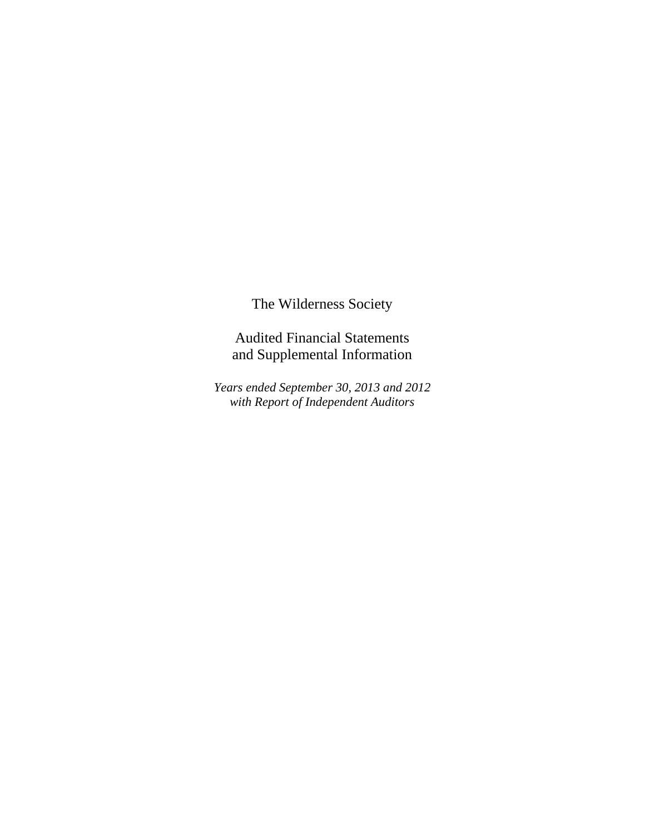

Audited Financial Statements and Supplemental Information

*Years ended September 30, 2013 and 2012 with Report of Independent Auditors*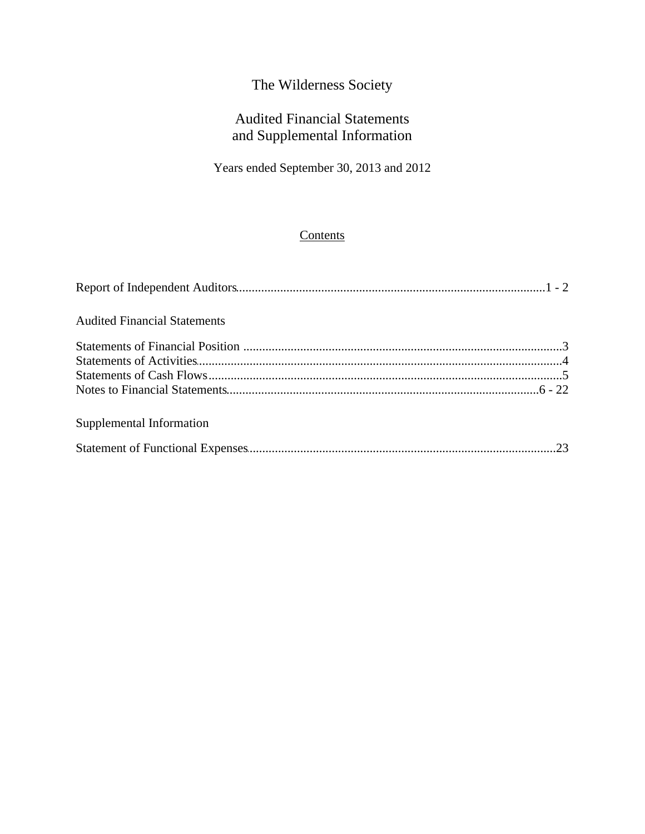# Audited Financial Statements and Supplemental Information

Years ended September 30, 2013 and 2012

# **Contents**

| <b>Audited Financial Statements</b> |  |
|-------------------------------------|--|
|                                     |  |
|                                     |  |
|                                     |  |
|                                     |  |
| Supplemental Information            |  |
|                                     |  |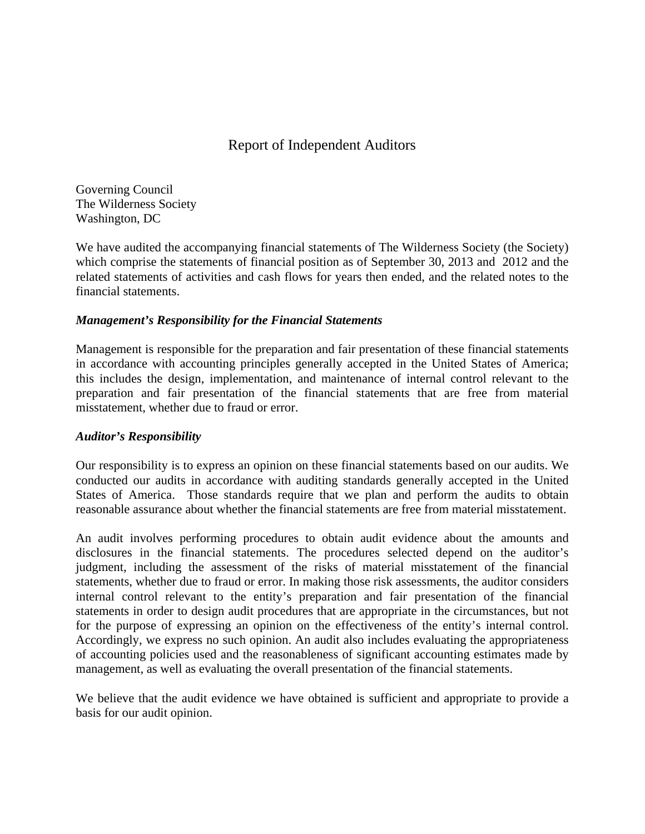

# Report of Independent Auditors

Governing Council The Wilderness Society Washington, DC

We have audited the accompanying financial statements of The Wilderness Society (the Society) which comprise the statements of financial position as of September 30, 2013 and 2012 and the related statements of activities and cash flows for years then ended, and the related notes to the financial statements.

#### *Management's Responsibility for the Financial Statements*

Management is responsible for the preparation and fair presentation of these financial statements in accordance with accounting principles generally accepted in the United States of America; this includes the design, implementation, and maintenance of internal control relevant to the preparation and fair presentation of the financial statements that are free from material misstatement, whether due to fraud or error.

#### *Auditor's Responsibility*

Our responsibility is to express an opinion on these financial statements based on our audits. We conducted our audits in accordance with auditing standards generally accepted in the United States of America. Those standards require that we plan and perform the audits to obtain reasonable assurance about whether the financial statements are free from material misstatement.

An audit involves performing procedures to obtain audit evidence about the amounts and disclosures in the financial statements. The procedures selected depend on the auditor's judgment, including the assessment of the risks of material misstatement of the financial statements, whether due to fraud or error. In making those risk assessments, the auditor considers internal control relevant to the entity's preparation and fair presentation of the financial statements in order to design audit procedures that are appropriate in the circumstances, but not for the purpose of expressing an opinion on the effectiveness of the entity's internal control. Accordingly, we express no such opinion. An audit also includes evaluating the appropriateness of accounting policies used and the reasonableness of significant accounting estimates made by management, as well as evaluating the overall presentation of the financial statements.

We believe that the audit evidence we have obtained is sufficient and appropriate to provide a basis for our audit opinion.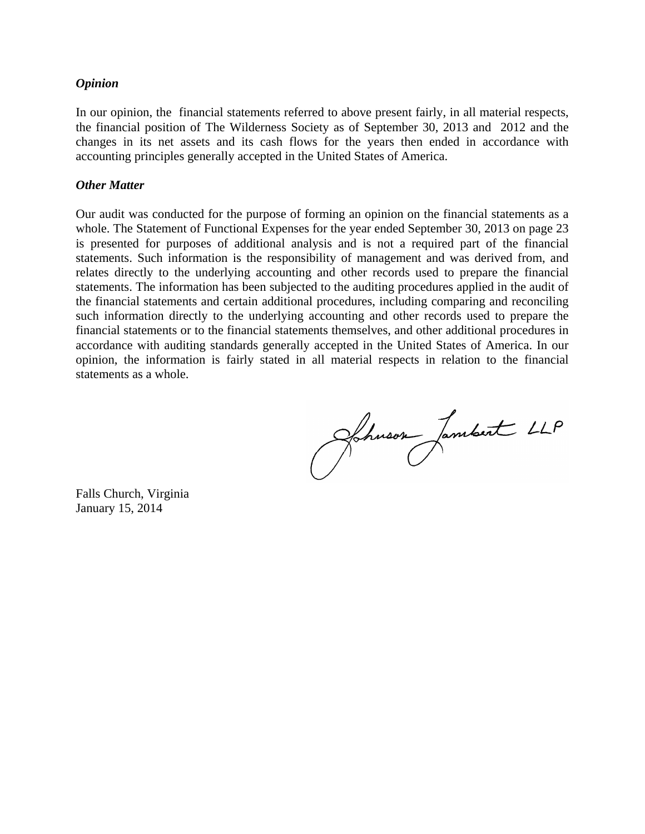#### *Opinion*

In our opinion, the financial statements referred to above present fairly, in all material respects, the financial position of The Wilderness Society as of September 30, 2013 and 2012 and the changes in its net assets and its cash flows for the years then ended in accordance with accounting principles generally accepted in the United States of America.

#### *Other Matter*

Our audit was conducted for the purpose of forming an opinion on the financial statements as a whole. The Statement of Functional Expenses for the year ended September 30, 2013 on page 23 is presented for purposes of additional analysis and is not a required part of the financial statements. Such information is the responsibility of management and was derived from, and relates directly to the underlying accounting and other records used to prepare the financial statements. The information has been subjected to the auditing procedures applied in the audit of the financial statements and certain additional procedures, including comparing and reconciling such information directly to the underlying accounting and other records used to prepare the financial statements or to the financial statements themselves, and other additional procedures in accordance with auditing standards generally accepted in the United States of America. In our opinion, the information is fairly stated in all material respects in relation to the financial statements as a whole.

Johnson Jambest LLP

Falls Church, Virginia January 15, 2014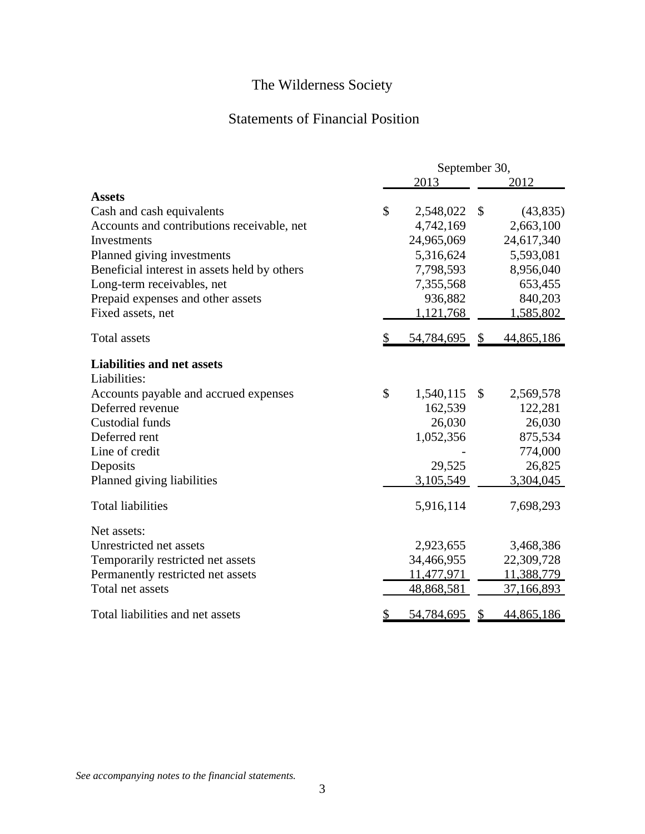# Statements of Financial Position

|                                              | September 30, |            |               |            |  |  |
|----------------------------------------------|---------------|------------|---------------|------------|--|--|
|                                              |               | 2013       |               | 2012       |  |  |
| <b>Assets</b>                                |               |            |               |            |  |  |
| Cash and cash equivalents                    | \$            | 2,548,022  | $\mathcal{S}$ | (43, 835)  |  |  |
| Accounts and contributions receivable, net   |               | 4,742,169  |               | 2,663,100  |  |  |
| Investments                                  |               | 24,965,069 |               | 24,617,340 |  |  |
| Planned giving investments                   |               | 5,316,624  |               | 5,593,081  |  |  |
| Beneficial interest in assets held by others |               | 7,798,593  |               | 8,956,040  |  |  |
| Long-term receivables, net                   |               | 7,355,568  |               | 653,455    |  |  |
| Prepaid expenses and other assets            |               | 936,882    |               | 840,203    |  |  |
| Fixed assets, net                            |               | 1,121,768  |               | 1,585,802  |  |  |
| <b>Total assets</b>                          | S             | 54,784,695 | $\mathbb{S}$  | 44,865,186 |  |  |
| <b>Liabilities and net assets</b>            |               |            |               |            |  |  |
| Liabilities:                                 |               |            |               |            |  |  |
| Accounts payable and accrued expenses        | \$            | 1,540,115  | <sup>\$</sup> | 2,569,578  |  |  |
| Deferred revenue                             |               | 162,539    |               | 122,281    |  |  |
| <b>Custodial funds</b>                       |               | 26,030     |               | 26,030     |  |  |
| Deferred rent                                |               | 1,052,356  |               | 875,534    |  |  |
| Line of credit                               |               |            |               | 774,000    |  |  |
| Deposits                                     |               | 29,525     |               | 26,825     |  |  |
| Planned giving liabilities                   |               | 3,105,549  |               | 3,304,045  |  |  |
| <b>Total liabilities</b>                     |               | 5,916,114  |               | 7,698,293  |  |  |
| Net assets:                                  |               |            |               |            |  |  |
| Unrestricted net assets                      |               | 2,923,655  |               | 3,468,386  |  |  |
| Temporarily restricted net assets            |               | 34,466,955 |               | 22,309,728 |  |  |
| Permanently restricted net assets            |               | 11,477,971 |               | 11,388,779 |  |  |
| Total net assets                             |               | 48,868,581 |               | 37,166,893 |  |  |
| Total liabilities and net assets             |               | 54,784,695 | S             | 44,865,186 |  |  |

*See accompanying notes to the financial statements.*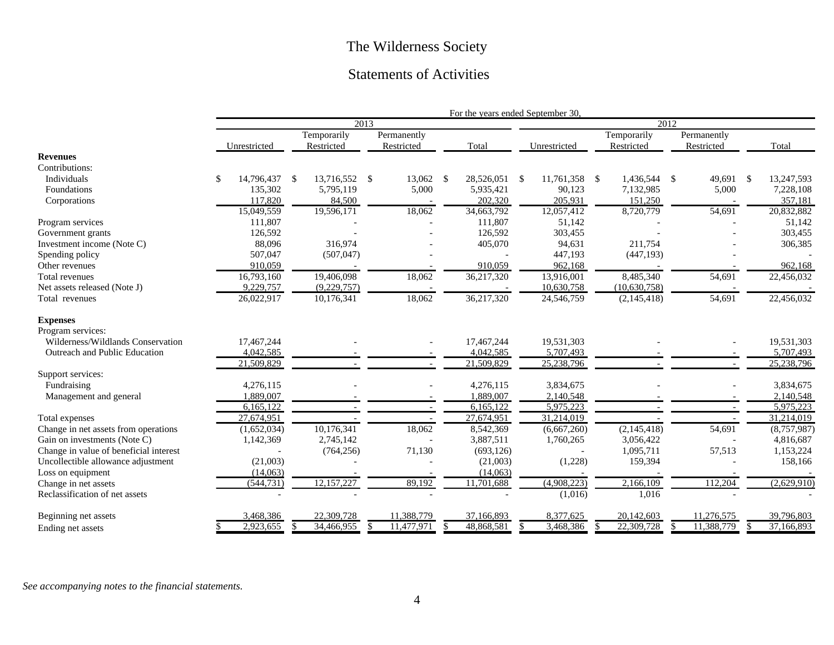#### Statements of Activities

|                                        |                  |      |               |      |             | For the years ended September 30, |      |               |  |                |      |             |     |             |
|----------------------------------------|------------------|------|---------------|------|-------------|-----------------------------------|------|---------------|--|----------------|------|-------------|-----|-------------|
|                                        |                  |      |               | 2013 |             |                                   | 2012 |               |  |                |      |             |     |             |
|                                        |                  |      | Temporarily   |      | Permanently |                                   |      |               |  | Temporarily    |      | Permanently |     |             |
|                                        | Unrestricted     |      | Restricted    |      | Restricted  | Total                             |      | Unrestricted  |  | Restricted     |      | Restricted  |     | Total       |
| <b>Revenues</b>                        |                  |      |               |      |             |                                   |      |               |  |                |      |             |     |             |
| Contributions:                         |                  |      |               |      |             |                                   |      |               |  |                |      |             |     |             |
| Individuals                            | \$<br>14,796,437 | - \$ | 13.716.552 \$ |      | 13,062      | \$<br>28,526,051 \$               |      | 11,761,358 \$ |  | 1,436,544      | - \$ | 49,691      | -\$ | 13,247,593  |
| <b>Foundations</b>                     | 135,302          |      | 5,795,119     |      | 5,000       | 5,935,421                         |      | 90,123        |  | 7,132,985      |      | 5,000       |     | 7,228,108   |
| Corporations                           | 117,820          |      | 84,500        |      |             | 202.320                           |      | 205,931       |  | 151,250        |      |             |     | 357,181     |
|                                        | 15,049,559       |      | 19,596,171    |      | 18,062      | 34,663,792                        |      | 12,057,412    |  | 8,720,779      |      | 54,691      |     | 20,832,882  |
| Program services                       | 111,807          |      |               |      |             | 111,807                           |      | 51,142        |  |                |      |             |     | 51,142      |
| Government grants                      | 126,592          |      |               |      |             | 126,592                           |      | 303,455       |  |                |      |             |     | 303,455     |
| Investment income (Note C)             | 88,096           |      | 316,974       |      |             | 405,070                           |      | 94,631        |  | 211,754        |      |             |     | 306,385     |
| Spending policy                        | 507,047          |      | (507, 047)    |      |             |                                   |      | 447,193       |  | (447, 193)     |      |             |     |             |
| Other revenues                         | 910.059          |      |               |      |             | 910,059                           |      | 962,168       |  |                |      |             |     | 962,168     |
| Total revenues                         | 16,793,160       |      | 19,406,098    |      | 18,062      | 36,217,320                        |      | 13,916,001    |  | 8,485,340      |      | 54,691      |     | 22,456,032  |
| Net assets released (Note J)           | 9,229,757        |      | (9,229,757)   |      |             |                                   |      | 10,630,758    |  | (10, 630, 758) |      |             |     |             |
| Total revenues                         | 26,022,917       |      | 10,176,341    |      | 18,062      | 36,217,320                        |      | 24,546,759    |  | (2,145,418)    |      | 54,691      |     | 22,456,032  |
| <b>Expenses</b>                        |                  |      |               |      |             |                                   |      |               |  |                |      |             |     |             |
| Program services:                      |                  |      |               |      |             |                                   |      |               |  |                |      |             |     |             |
| Wilderness/Wildlands Conservation      | 17,467,244       |      |               |      |             | 17,467,244                        |      | 19,531,303    |  |                |      |             |     | 19,531,303  |
| <b>Outreach and Public Education</b>   | 4,042,585        |      |               |      |             | 4,042,585                         |      | 5,707,493     |  |                |      |             |     | 5,707,493   |
|                                        | 21,509,829       |      |               |      |             | 21,509,829                        |      | 25,238,796    |  |                |      |             |     | 25,238,796  |
| Support services:                      |                  |      |               |      |             |                                   |      |               |  |                |      |             |     |             |
| Fundraising                            | 4,276,115        |      |               |      |             | 4.276.115                         |      | 3,834,675     |  |                |      |             |     | 3,834,675   |
| Management and general                 | 1,889,007        |      |               |      |             | 1,889,007                         |      | 2,140,548     |  |                |      |             |     | 2,140,548   |
|                                        | 6,165,122        |      |               |      |             | 6,165,122                         |      | 5,975,223     |  |                |      |             |     | 5,975,223   |
| Total expenses                         | 27,674,951       |      |               |      |             | 27,674,951                        |      | 31,214,019    |  |                |      |             |     | 31,214,019  |
| Change in net assets from operations   | (1,652,034)      |      | 10,176,341    |      | 18,062      | 8,542,369                         |      | (6,667,260)   |  | (2,145,418)    |      | 54,691      |     | (8,757,987) |
| Gain on investments (Note C)           | 1,142,369        |      | 2,745,142     |      |             | 3,887,511                         |      | 1,760,265     |  | 3,056,422      |      |             |     | 4,816,687   |
| Change in value of beneficial interest |                  |      | (764, 256)    |      | 71,130      | (693, 126)                        |      |               |  | 1,095,711      |      | 57,513      |     | 1,153,224   |
| Uncollectible allowance adjustment     | (21,003)         |      |               |      |             | (21,003)                          |      | (1,228)       |  | 159,394        |      |             |     | 158,166     |
| Loss on equipment                      | (14,063)         |      |               |      |             | (14,063)                          |      |               |  |                |      |             |     |             |
| Change in net assets                   | (544, 731)       |      | 12,157,227    |      | 89,192      | 11,701,688                        |      | (4,908,223)   |  | 2,166,109      |      | 112,204     |     | (2,629,910) |
| Reclassification of net assets         |                  |      |               |      |             |                                   |      | (1,016)       |  | 1,016          |      |             |     |             |
|                                        |                  |      |               |      |             |                                   |      |               |  |                |      |             |     |             |
| Beginning net assets                   | 3,468,386        |      | 22.309.728    |      | 11.388.779  | 37,166,893                        |      | 8,377,625     |  | 20,142,603     |      | 11,276,575  |     | 39,796,803  |
| Ending net assets                      | 2,923,655        |      | 34,466,955    |      | 11,477,971  | 48,868,581                        |      | 3,468,386     |  | 22,309,728     |      | 11,388,779  |     | 37,166,893  |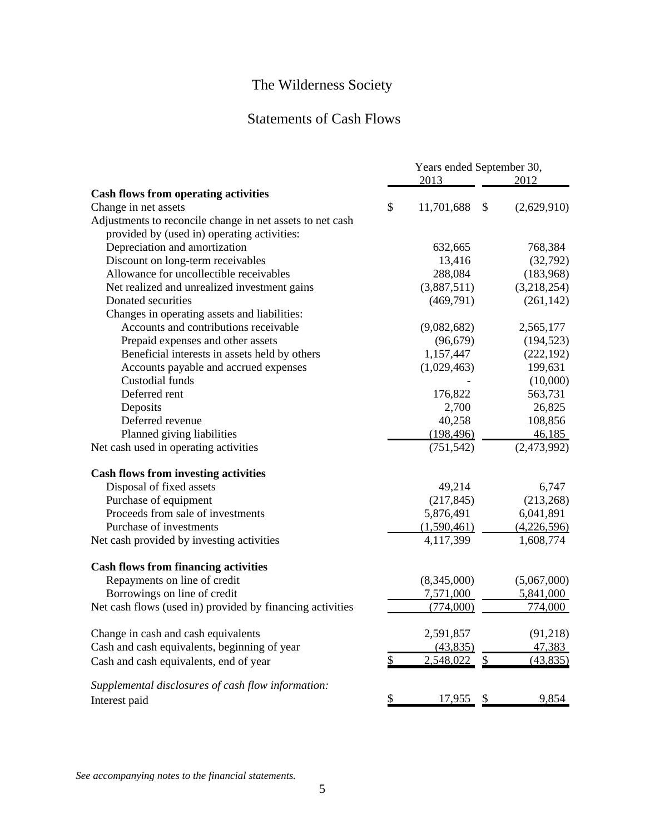# Statements of Cash Flows

|                                                           | Years ended September 30, |             |    |             |  |
|-----------------------------------------------------------|---------------------------|-------------|----|-------------|--|
|                                                           |                           | 2013        |    | 2012        |  |
| <b>Cash flows from operating activities</b>               |                           |             |    |             |  |
| Change in net assets                                      | \$                        | 11,701,688  | \$ | (2,629,910) |  |
| Adjustments to reconcile change in net assets to net cash |                           |             |    |             |  |
| provided by (used in) operating activities:               |                           |             |    |             |  |
| Depreciation and amortization                             |                           | 632,665     |    | 768,384     |  |
| Discount on long-term receivables                         |                           | 13,416      |    | (32,792)    |  |
| Allowance for uncollectible receivables                   |                           | 288,084     |    | (183,968)   |  |
| Net realized and unrealized investment gains              |                           | (3,887,511) |    | (3,218,254) |  |
| Donated securities                                        |                           | (469,791)   |    | (261, 142)  |  |
| Changes in operating assets and liabilities:              |                           |             |    |             |  |
| Accounts and contributions receivable                     |                           | (9,082,682) |    | 2,565,177   |  |
| Prepaid expenses and other assets                         |                           | (96, 679)   |    | (194, 523)  |  |
| Beneficial interests in assets held by others             |                           | 1,157,447   |    | (222, 192)  |  |
| Accounts payable and accrued expenses                     |                           | (1,029,463) |    | 199,631     |  |
| Custodial funds                                           |                           |             |    | (10,000)    |  |
| Deferred rent                                             |                           | 176,822     |    | 563,731     |  |
| Deposits                                                  |                           | 2,700       |    | 26,825      |  |
| Deferred revenue                                          |                           | 40,258      |    | 108,856     |  |
| Planned giving liabilities                                |                           | (198, 496)  |    | 46,185      |  |
| Net cash used in operating activities                     |                           | (751, 542)  |    | (2,473,992) |  |
| <b>Cash flows from investing activities</b>               |                           |             |    |             |  |
| Disposal of fixed assets                                  |                           | 49,214      |    | 6,747       |  |
| Purchase of equipment                                     |                           | (217, 845)  |    | (213, 268)  |  |
| Proceeds from sale of investments                         |                           | 5,876,491   |    | 6,041,891   |  |
| Purchase of investments                                   |                           | (1,590,461) |    | (4,226,596) |  |
| Net cash provided by investing activities                 |                           | 4,117,399   |    | 1,608,774   |  |
| <b>Cash flows from financing activities</b>               |                           |             |    |             |  |
| Repayments on line of credit                              |                           | (8,345,000) |    | (5,067,000) |  |
| Borrowings on line of credit                              |                           | 7,571,000   |    | 5,841,000   |  |
| Net cash flows (used in) provided by financing activities |                           | (774,000)   |    | 774,000     |  |
| Change in cash and cash equivalents                       |                           | 2,591,857   |    | (91,218)    |  |
| Cash and cash equivalents, beginning of year              |                           | (43, 835)   |    | 47,383      |  |
| Cash and cash equivalents, end of year                    |                           | 2,548,022   | \$ | (43,835)    |  |
| Supplemental disclosures of cash flow information:        |                           |             |    |             |  |
| Interest paid                                             | <u>\$</u>                 | 17,955      | \$ | 9,854       |  |

*See accompanying notes to the financial statements.*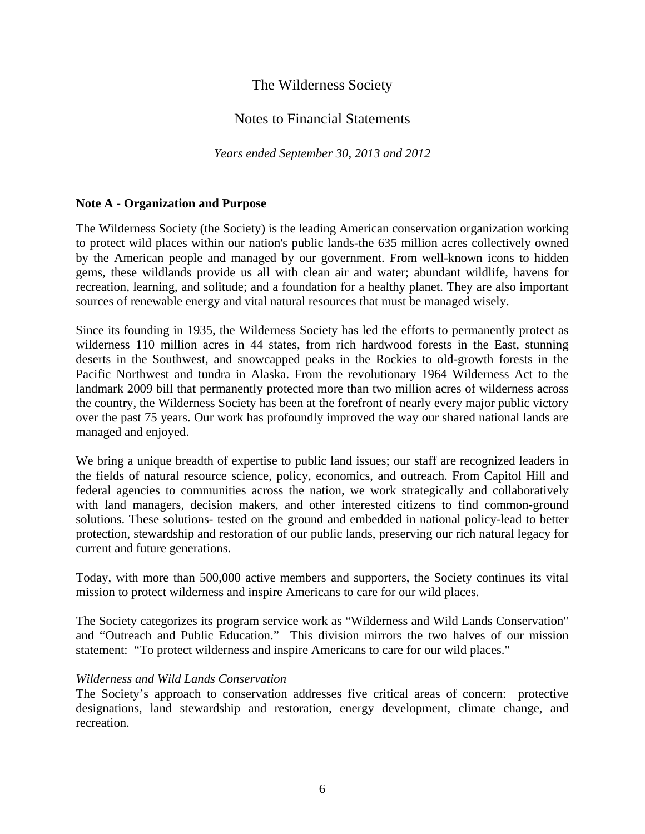# Notes to Financial Statements

*Years ended September 30, 2013 and 2012*

### **Note A - Organization and Purpose**

The Wilderness Society (the Society) is the leading American conservation organization working to protect wild places within our nation's public lands-the 635 million acres collectively owned by the American people and managed by our government. From well-known icons to hidden gems, these wildlands provide us all with clean air and water; abundant wildlife, havens for recreation, learning, and solitude; and a foundation for a healthy planet. They are also important sources of renewable energy and vital natural resources that must be managed wisely.

Since its founding in 1935, the Wilderness Society has led the efforts to permanently protect as wilderness 110 million acres in 44 states, from rich hardwood forests in the East, stunning deserts in the Southwest, and snowcapped peaks in the Rockies to old-growth forests in the Pacific Northwest and tundra in Alaska. From the revolutionary 1964 Wilderness Act to the landmark 2009 bill that permanently protected more than two million acres of wilderness across the country, the Wilderness Society has been at the forefront of nearly every major public victory over the past 75 years. Our work has profoundly improved the way our shared national lands are managed and enjoyed.

We bring a unique breadth of expertise to public land issues; our staff are recognized leaders in the fields of natural resource science, policy, economics, and outreach. From Capitol Hill and federal agencies to communities across the nation, we work strategically and collaboratively with land managers, decision makers, and other interested citizens to find common-ground solutions. These solutions- tested on the ground and embedded in national policy-lead to better protection, stewardship and restoration of our public lands, preserving our rich natural legacy for current and future generations.

Today, with more than 500,000 active members and supporters, the Society continues its vital mission to protect wilderness and inspire Americans to care for our wild places.

The Society categorizes its program service work as "Wilderness and Wild Lands Conservation" and "Outreach and Public Education." This division mirrors the two halves of our mission statement: "To protect wilderness and inspire Americans to care for our wild places."

### *Wilderness and Wild Lands Conservation*

The Society's approach to conservation addresses five critical areas of concern: protective designations, land stewardship and restoration, energy development, climate change, and recreation.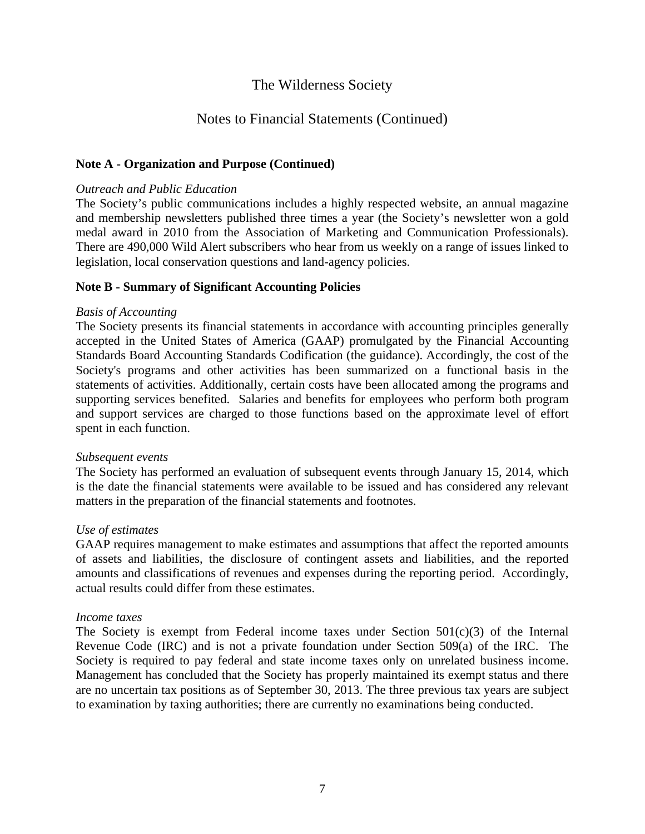## Notes to Financial Statements (Continued)

### **Note A - Organization and Purpose (Continued)**

#### *Outreach and Public Education*

The Society's public communications includes a highly respected website, an annual magazine and membership newsletters published three times a year (the Society's newsletter won a gold medal award in 2010 from the Association of Marketing and Communication Professionals). There are 490,000 Wild Alert subscribers who hear from us weekly on a range of issues linked to legislation, local conservation questions and land-agency policies.

#### **Note B - Summary of Significant Accounting Policies**

#### *Basis of Accounting*

The Society presents its financial statements in accordance with accounting principles generally accepted in the United States of America (GAAP) promulgated by the Financial Accounting Standards Board Accounting Standards Codification (the guidance). Accordingly, the cost of the Society's programs and other activities has been summarized on a functional basis in the statements of activities. Additionally, certain costs have been allocated among the programs and supporting services benefited. Salaries and benefits for employees who perform both program and support services are charged to those functions based on the approximate level of effort spent in each function.

#### *Subsequent events*

The Society has performed an evaluation of subsequent events through January 15, 2014, which is the date the financial statements were available to be issued and has considered any relevant matters in the preparation of the financial statements and footnotes.

#### *Use of estimates*

GAAP requires management to make estimates and assumptions that affect the reported amounts of assets and liabilities, the disclosure of contingent assets and liabilities, and the reported amounts and classifications of revenues and expenses during the reporting period. Accordingly, actual results could differ from these estimates.

#### *Income taxes*

The Society is exempt from Federal income taxes under Section  $501(c)(3)$  of the Internal Revenue Code (IRC) and is not a private foundation under Section 509(a) of the IRC. The Society is required to pay federal and state income taxes only on unrelated business income. Management has concluded that the Society has properly maintained its exempt status and there are no uncertain tax positions as of September 30, 2013. The three previous tax years are subject to examination by taxing authorities; there are currently no examinations being conducted.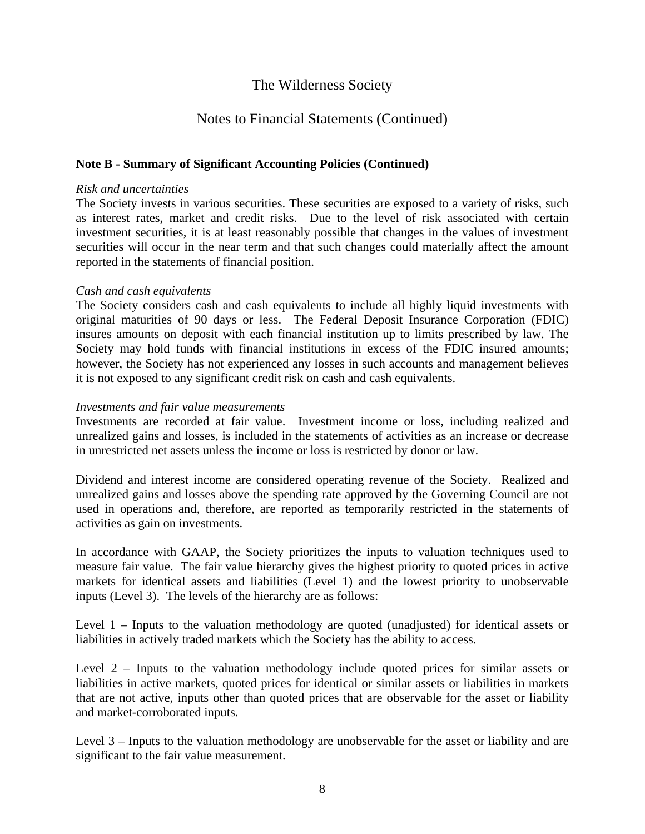## Notes to Financial Statements (Continued)

### **Note B - Summary of Significant Accounting Policies (Continued)**

#### *Risk and uncertainties*

The Society invests in various securities. These securities are exposed to a variety of risks, such as interest rates, market and credit risks. Due to the level of risk associated with certain investment securities, it is at least reasonably possible that changes in the values of investment securities will occur in the near term and that such changes could materially affect the amount reported in the statements of financial position.

### *Cash and cash equivalents*

The Society considers cash and cash equivalents to include all highly liquid investments with original maturities of 90 days or less. The Federal Deposit Insurance Corporation (FDIC) insures amounts on deposit with each financial institution up to limits prescribed by law. The Society may hold funds with financial institutions in excess of the FDIC insured amounts; however, the Society has not experienced any losses in such accounts and management believes it is not exposed to any significant credit risk on cash and cash equivalents.

#### *Investments and fair value measurements*

Investments are recorded at fair value. Investment income or loss, including realized and unrealized gains and losses, is included in the statements of activities as an increase or decrease in unrestricted net assets unless the income or loss is restricted by donor or law.

Dividend and interest income are considered operating revenue of the Society. Realized and unrealized gains and losses above the spending rate approved by the Governing Council are not used in operations and, therefore, are reported as temporarily restricted in the statements of activities as gain on investments.

In accordance with GAAP, the Society prioritizes the inputs to valuation techniques used to measure fair value. The fair value hierarchy gives the highest priority to quoted prices in active markets for identical assets and liabilities (Level 1) and the lowest priority to unobservable inputs (Level 3). The levels of the hierarchy are as follows:

Level 1 – Inputs to the valuation methodology are quoted (unadjusted) for identical assets or liabilities in actively traded markets which the Society has the ability to access.

Level 2 – Inputs to the valuation methodology include quoted prices for similar assets or liabilities in active markets, quoted prices for identical or similar assets or liabilities in markets that are not active, inputs other than quoted prices that are observable for the asset or liability and market-corroborated inputs.

Level 3 – Inputs to the valuation methodology are unobservable for the asset or liability and are significant to the fair value measurement.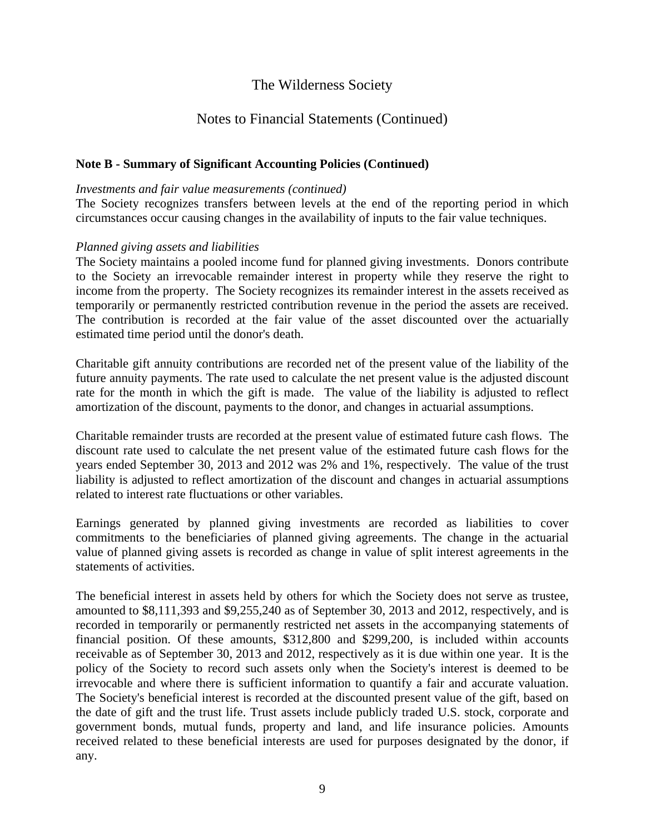# Notes to Financial Statements (Continued)

### **Note B - Summary of Significant Accounting Policies (Continued)**

#### *Investments and fair value measurements (continued)*

The Society recognizes transfers between levels at the end of the reporting period in which circumstances occur causing changes in the availability of inputs to the fair value techniques.

### *Planned giving assets and liabilities*

The Society maintains a pooled income fund for planned giving investments. Donors contribute to the Society an irrevocable remainder interest in property while they reserve the right to income from the property. The Society recognizes its remainder interest in the assets received as temporarily or permanently restricted contribution revenue in the period the assets are received. The contribution is recorded at the fair value of the asset discounted over the actuarially estimated time period until the donor's death.

Charitable gift annuity contributions are recorded net of the present value of the liability of the future annuity payments. The rate used to calculate the net present value is the adjusted discount rate for the month in which the gift is made. The value of the liability is adjusted to reflect amortization of the discount, payments to the donor, and changes in actuarial assumptions.

Charitable remainder trusts are recorded at the present value of estimated future cash flows. The discount rate used to calculate the net present value of the estimated future cash flows for the years ended September 30, 2013 and 2012 was 2% and 1%, respectively. The value of the trust liability is adjusted to reflect amortization of the discount and changes in actuarial assumptions related to interest rate fluctuations or other variables.

Earnings generated by planned giving investments are recorded as liabilities to cover commitments to the beneficiaries of planned giving agreements. The change in the actuarial value of planned giving assets is recorded as change in value of split interest agreements in the statements of activities.

The beneficial interest in assets held by others for which the Society does not serve as trustee, amounted to \$8,111,393 and \$9,255,240 as of September 30, 2013 and 2012, respectively, and is recorded in temporarily or permanently restricted net assets in the accompanying statements of financial position. Of these amounts, \$312,800 and \$299,200, is included within accounts receivable as of September 30, 2013 and 2012, respectively as it is due within one year. It is the policy of the Society to record such assets only when the Society's interest is deemed to be irrevocable and where there is sufficient information to quantify a fair and accurate valuation. The Society's beneficial interest is recorded at the discounted present value of the gift, based on the date of gift and the trust life. Trust assets include publicly traded U.S. stock, corporate and government bonds, mutual funds, property and land, and life insurance policies. Amounts received related to these beneficial interests are used for purposes designated by the donor, if any.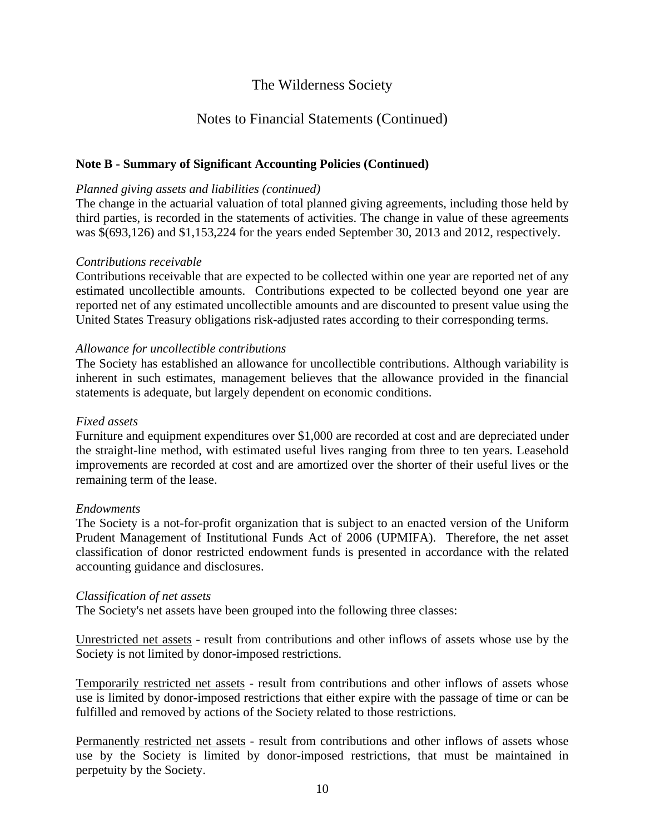# Notes to Financial Statements (Continued)

### **Note B - Summary of Significant Accounting Policies (Continued)**

### *Planned giving assets and liabilities (continued)*

The change in the actuarial valuation of total planned giving agreements, including those held by third parties, is recorded in the statements of activities. The change in value of these agreements was \$(693,126) and \$1,153,224 for the years ended September 30, 2013 and 2012, respectively.

### *Contributions receivable*

Contributions receivable that are expected to be collected within one year are reported net of any estimated uncollectible amounts. Contributions expected to be collected beyond one year are reported net of any estimated uncollectible amounts and are discounted to present value using the United States Treasury obligations risk-adjusted rates according to their corresponding terms.

### *Allowance for uncollectible contributions*

The Society has established an allowance for uncollectible contributions. Although variability is inherent in such estimates, management believes that the allowance provided in the financial statements is adequate, but largely dependent on economic conditions.

#### *Fixed assets*

Furniture and equipment expenditures over \$1,000 are recorded at cost and are depreciated under the straight-line method, with estimated useful lives ranging from three to ten years. Leasehold improvements are recorded at cost and are amortized over the shorter of their useful lives or the remaining term of the lease.

#### *Endowments*

The Society is a not-for-profit organization that is subject to an enacted version of the Uniform Prudent Management of Institutional Funds Act of 2006 (UPMIFA). Therefore, the net asset classification of donor restricted endowment funds is presented in accordance with the related accounting guidance and disclosures.

#### *Classification of net assets*

The Society's net assets have been grouped into the following three classes:

Unrestricted net assets - result from contributions and other inflows of assets whose use by the Society is not limited by donor-imposed restrictions.

Temporarily restricted net assets - result from contributions and other inflows of assets whose use is limited by donor-imposed restrictions that either expire with the passage of time or can be fulfilled and removed by actions of the Society related to those restrictions.

Permanently restricted net assets - result from contributions and other inflows of assets whose use by the Society is limited by donor-imposed restrictions, that must be maintained in perpetuity by the Society.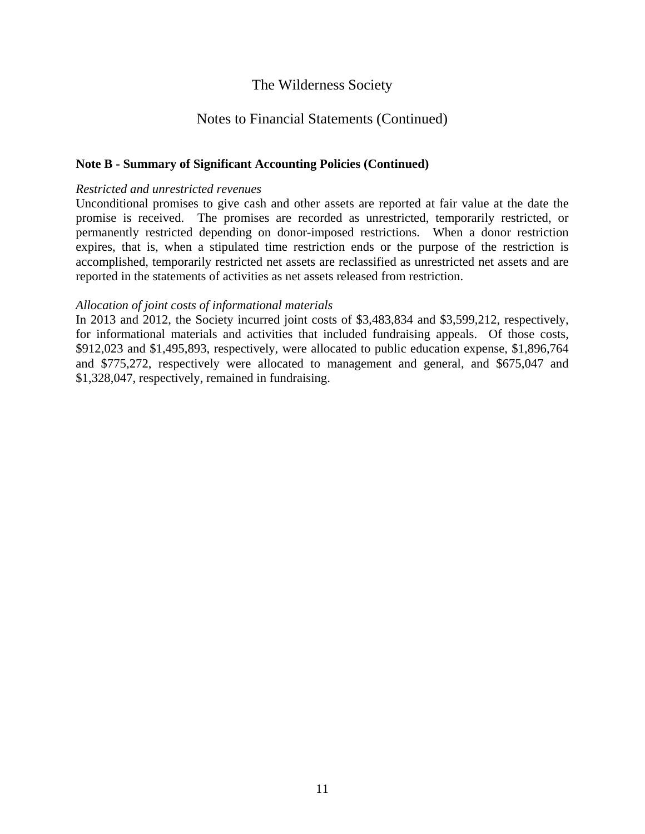## Notes to Financial Statements (Continued)

### **Note B - Summary of Significant Accounting Policies (Continued)**

#### *Restricted and unrestricted revenues*

Unconditional promises to give cash and other assets are reported at fair value at the date the promise is received. The promises are recorded as unrestricted, temporarily restricted, or permanently restricted depending on donor-imposed restrictions. When a donor restriction expires, that is, when a stipulated time restriction ends or the purpose of the restriction is accomplished, temporarily restricted net assets are reclassified as unrestricted net assets and are reported in the statements of activities as net assets released from restriction.

#### *Allocation of joint costs of informational materials*

In 2013 and 2012, the Society incurred joint costs of \$3,483,834 and \$3,599,212, respectively, for informational materials and activities that included fundraising appeals. Of those costs, \$912,023 and \$1,495,893, respectively, were allocated to public education expense, \$1,896,764 and \$775,272, respectively were allocated to management and general, and \$675,047 and \$1,328,047, respectively, remained in fundraising.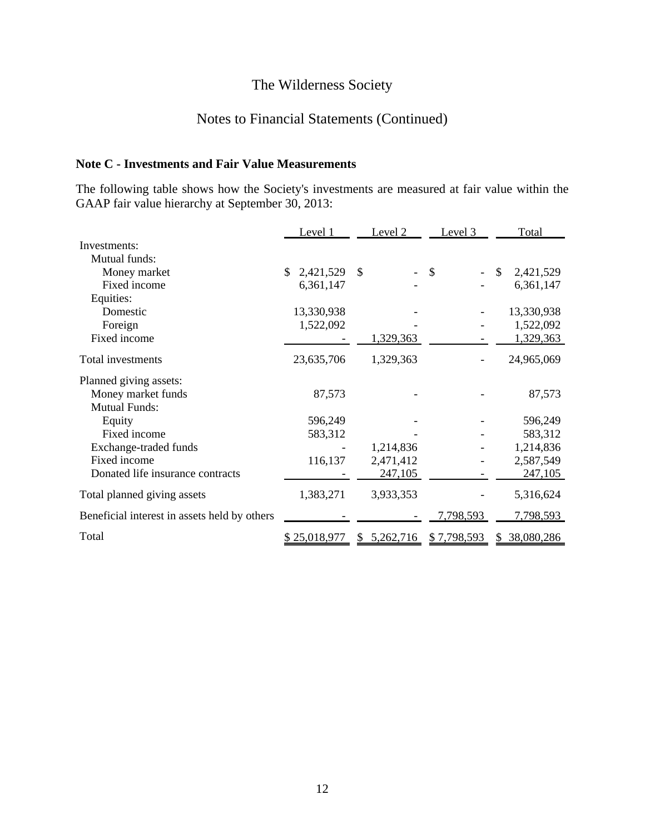# Notes to Financial Statements (Continued)

### **Note C - Investments and Fair Value Measurements**

The following table shows how the Society's investments are measured at fair value within the GAAP fair value hierarchy at September 30, 2013:

|                                              | Level 1          | Level 2         | Level 3     | Total           |
|----------------------------------------------|------------------|-----------------|-------------|-----------------|
| Investments:                                 |                  |                 |             |                 |
| Mutual funds:                                |                  |                 |             |                 |
| Money market                                 | \$.<br>2,421,529 | $\mathcal{S}$   | \$          | \$<br>2,421,529 |
| Fixed income                                 | 6,361,147        |                 |             | 6,361,147       |
| Equities:                                    |                  |                 |             |                 |
| Domestic                                     | 13,330,938       |                 |             | 13,330,938      |
| Foreign                                      | 1,522,092        |                 |             | 1,522,092       |
| Fixed income                                 |                  | 1,329,363       |             | 1,329,363       |
| Total investments                            | 23,635,706       | 1,329,363       |             | 24,965,069      |
| Planned giving assets:                       |                  |                 |             |                 |
| Money market funds                           | 87,573           |                 |             | 87,573          |
| <b>Mutual Funds:</b>                         |                  |                 |             |                 |
| Equity                                       | 596,249          |                 |             | 596,249         |
| Fixed income                                 | 583,312          |                 |             | 583,312         |
| Exchange-traded funds                        |                  | 1,214,836       |             | 1,214,836       |
| Fixed income                                 | 116,137          | 2,471,412       |             | 2,587,549       |
| Donated life insurance contracts             |                  | 247,105         |             | 247,105         |
| Total planned giving assets                  | 1,383,271        | 3,933,353       |             | 5,316,624       |
| Beneficial interest in assets held by others |                  |                 | 7,798,593   | 7,798,593       |
| Total                                        | \$25,018,977     | 5,262,716<br>S. | \$7,798,593 | \$38,080,286    |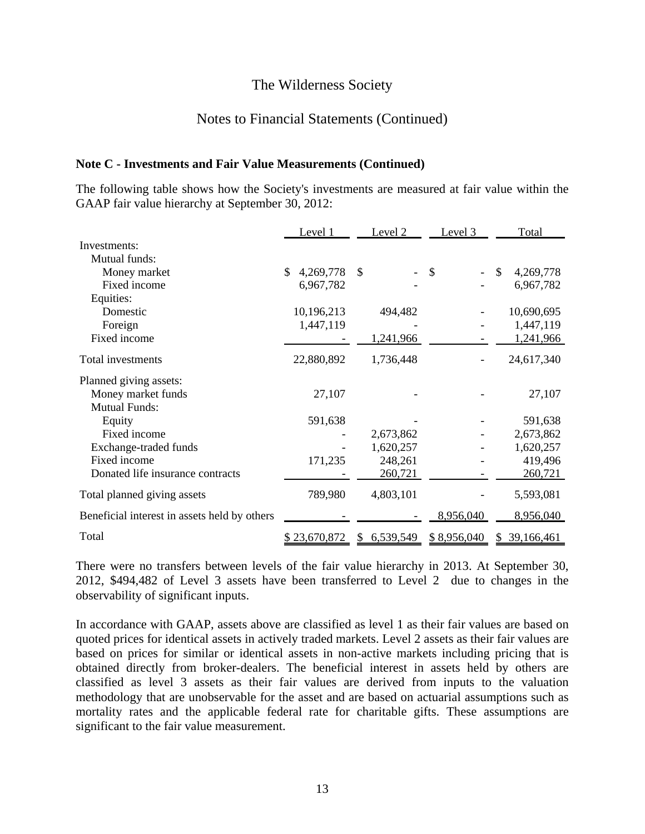### Notes to Financial Statements (Continued)

#### **Note C - Investments and Fair Value Measurements (Continued)**

The following table shows how the Society's investments are measured at fair value within the GAAP fair value hierarchy at September 30, 2012:

|                                              | Level 1         | Level 2<br>Level 3 |               | Total           |
|----------------------------------------------|-----------------|--------------------|---------------|-----------------|
| Investments:                                 |                 |                    |               |                 |
| Mutual funds:                                |                 |                    |               |                 |
| Money market                                 | \$<br>4,269,778 | $\mathcal{S}$      | $\mathcal{S}$ | \$<br>4,269,778 |
| Fixed income                                 | 6,967,782       |                    |               | 6,967,782       |
| Equities:                                    |                 |                    |               |                 |
| Domestic                                     | 10,196,213      | 494,482            |               | 10,690,695      |
| Foreign                                      | 1,447,119       |                    |               | 1,447,119       |
| Fixed income                                 |                 | 1,241,966          |               | 1,241,966       |
| Total investments                            | 22,880,892      | 1,736,448          |               | 24,617,340      |
| Planned giving assets:                       |                 |                    |               |                 |
| Money market funds                           | 27,107          |                    |               | 27,107          |
| <b>Mutual Funds:</b>                         |                 |                    |               |                 |
| Equity                                       | 591,638         |                    |               | 591,638         |
| Fixed income                                 |                 | 2,673,862          |               | 2,673,862       |
| Exchange-traded funds                        |                 | 1,620,257          |               | 1,620,257       |
| Fixed income                                 | 171,235         | 248,261            |               | 419,496         |
| Donated life insurance contracts             |                 | 260,721            |               | 260,721         |
| Total planned giving assets                  | 789,980         | 4,803,101          |               | 5,593,081       |
| Beneficial interest in assets held by others |                 |                    | 8,956,040     | 8,956,040       |
| Total                                        | \$23,670,872    | 6,539,549<br>\$.   | \$8,956,040   | \$39,166,461    |

There were no transfers between levels of the fair value hierarchy in 2013. At September 30, 2012, \$494,482 of Level 3 assets have been transferred to Level 2 due to changes in the observability of significant inputs.

In accordance with GAAP, assets above are classified as level 1 as their fair values are based on quoted prices for identical assets in actively traded markets. Level 2 assets as their fair values are based on prices for similar or identical assets in non-active markets including pricing that is obtained directly from broker-dealers. The beneficial interest in assets held by others are classified as level 3 assets as their fair values are derived from inputs to the valuation methodology that are unobservable for the asset and are based on actuarial assumptions such as mortality rates and the applicable federal rate for charitable gifts. These assumptions are significant to the fair value measurement.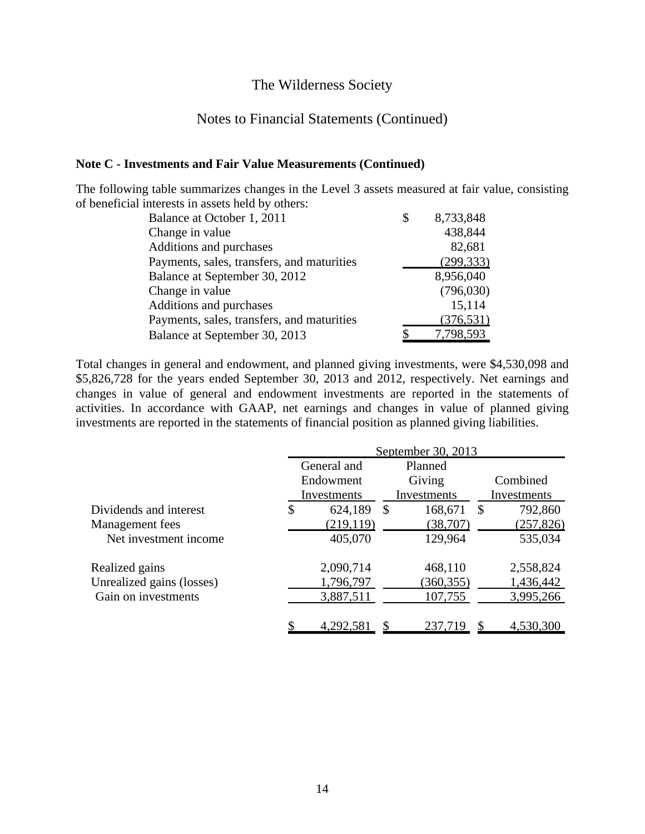### Notes to Financial Statements (Continued)

#### **Note C - Investments and Fair Value Measurements (Continued)**

The following table summarizes changes in the Level 3 assets measured at fair value, consisting of beneficial interests in assets held by others:

| Balance at October 1, 2011                 | \$<br>8,733,848 |
|--------------------------------------------|-----------------|
| Change in value                            | 438,844         |
| Additions and purchases                    | 82,681          |
| Payments, sales, transfers, and maturities | (299, 333)      |
| Balance at September 30, 2012              | 8,956,040       |
| Change in value                            | (796,030)       |
| Additions and purchases                    | 15,114          |
| Payments, sales, transfers, and maturities | (376, 531)      |
| Balance at September 30, 2013              | 7,798,593       |

Total changes in general and endowment, and planned giving investments, were \$4,530,098 and \$5,826,728 for the years ended September 30, 2013 and 2012, respectively. Net earnings and changes in value of general and endowment investments are reported in the statements of activities. In accordance with GAAP, net earnings and changes in value of planned giving investments are reported in the statements of financial position as planned giving liabilities.

|                           | September 30, 2013                   |              |  |  |  |  |  |  |
|---------------------------|--------------------------------------|--------------|--|--|--|--|--|--|
|                           | General and<br>Planned               |              |  |  |  |  |  |  |
|                           | Giving<br>Endowment                  | Combined     |  |  |  |  |  |  |
|                           | Investments<br>Investments           | Investments  |  |  |  |  |  |  |
| Dividends and interest    | \$<br>624,189<br>168,671<br><b>S</b> | 792,860<br>S |  |  |  |  |  |  |
| Management fees           | (219, 119)<br>(38, 707)              | (257, 826)   |  |  |  |  |  |  |
| Net investment income     | 405,070<br>129,964                   | 535,034      |  |  |  |  |  |  |
| Realized gains            | 2,090,714<br>468,110                 | 2,558,824    |  |  |  |  |  |  |
| Unrealized gains (losses) | (360, 355)<br>1,796,797              | 1,436,442    |  |  |  |  |  |  |
| Gain on investments       | 3,887,511<br>107,755                 | 3,995,266    |  |  |  |  |  |  |
|                           | 4,292,581<br>237,719                 | 4,530,300    |  |  |  |  |  |  |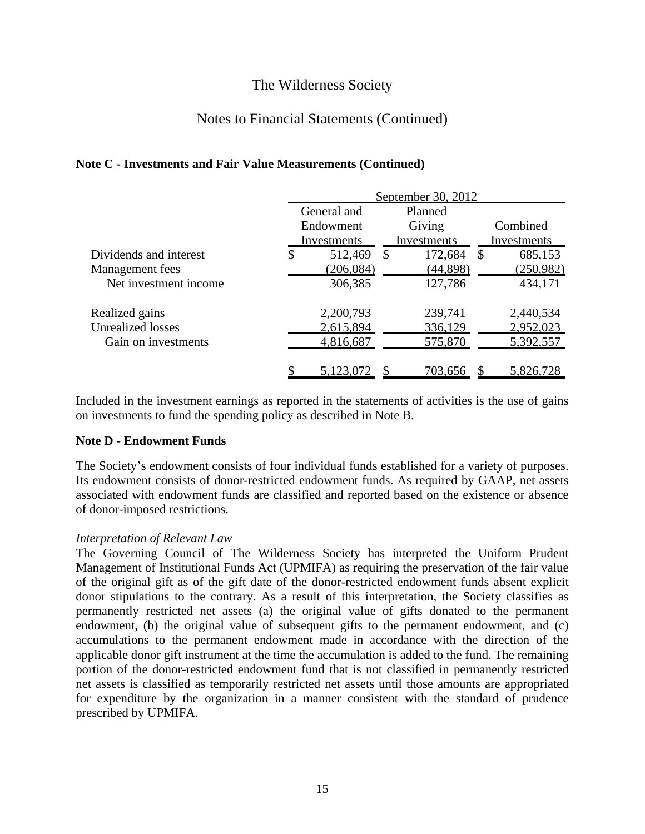## Notes to Financial Statements (Continued)

|                          | September 30, 2012                        |                          |  |  |  |  |  |  |  |
|--------------------------|-------------------------------------------|--------------------------|--|--|--|--|--|--|--|
|                          | General and<br>Planned                    |                          |  |  |  |  |  |  |  |
|                          | Giving<br>Endowment                       | Combined                 |  |  |  |  |  |  |  |
|                          | Investments<br>Investments                | Investments              |  |  |  |  |  |  |  |
| Dividends and interest   | 172,684<br>\$<br>512,469<br><sup>\$</sup> | 685,153<br>$\mathcal{S}$ |  |  |  |  |  |  |  |
| Management fees          | (206, 084)<br>(44,898)                    | (250,982)                |  |  |  |  |  |  |  |
| Net investment income    | 306,385<br>127,786                        | 434,171                  |  |  |  |  |  |  |  |
| Realized gains           | 2,200,793<br>239,741                      | 2,440,534                |  |  |  |  |  |  |  |
| <b>Unrealized losses</b> | 2,615,894<br>336,129                      | 2,952,023                |  |  |  |  |  |  |  |
| Gain on investments      | 4,816,687<br>575,870                      | 5,392,557                |  |  |  |  |  |  |  |
|                          | 5,123,072<br>703,656                      | 5,826,728                |  |  |  |  |  |  |  |

#### **Note C - Investments and Fair Value Measurements (Continued)**

Included in the investment earnings as reported in the statements of activities is the use of gains on investments to fund the spending policy as described in Note B.

### **Note D - Endowment Funds**

The Society's endowment consists of four individual funds established for a variety of purposes. Its endowment consists of donor-restricted endowment funds. As required by GAAP, net assets associated with endowment funds are classified and reported based on the existence or absence of donor-imposed restrictions.

#### *Interpretation of Relevant Law*

The Governing Council of The Wilderness Society has interpreted the Uniform Prudent Management of Institutional Funds Act (UPMIFA) as requiring the preservation of the fair value of the original gift as of the gift date of the donor-restricted endowment funds absent explicit donor stipulations to the contrary. As a result of this interpretation, the Society classifies as permanently restricted net assets (a) the original value of gifts donated to the permanent endowment, (b) the original value of subsequent gifts to the permanent endowment, and (c) accumulations to the permanent endowment made in accordance with the direction of the applicable donor gift instrument at the time the accumulation is added to the fund. The remaining portion of the donor-restricted endowment fund that is not classified in permanently restricted net assets is classified as temporarily restricted net assets until those amounts are appropriated for expenditure by the organization in a manner consistent with the standard of prudence prescribed by UPMIFA.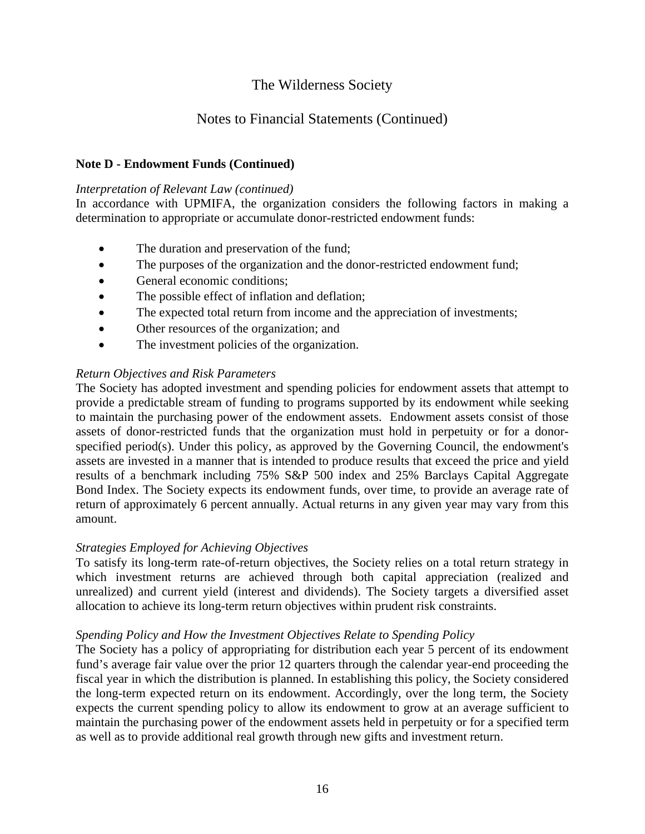# Notes to Financial Statements (Continued)

### **Note D - Endowment Funds (Continued)**

### *Interpretation of Relevant Law (continued)*

In accordance with UPMIFA, the organization considers the following factors in making a determination to appropriate or accumulate donor-restricted endowment funds:

- The duration and preservation of the fund;
- The purposes of the organization and the donor-restricted endowment fund;
- General economic conditions:
- The possible effect of inflation and deflation;
- The expected total return from income and the appreciation of investments;
- Other resources of the organization; and
- The investment policies of the organization.

### *Return Objectives and Risk Parameters*

The Society has adopted investment and spending policies for endowment assets that attempt to provide a predictable stream of funding to programs supported by its endowment while seeking to maintain the purchasing power of the endowment assets. Endowment assets consist of those assets of donor-restricted funds that the organization must hold in perpetuity or for a donorspecified period(s). Under this policy, as approved by the Governing Council, the endowment's assets are invested in a manner that is intended to produce results that exceed the price and yield results of a benchmark including 75% S&P 500 index and 25% Barclays Capital Aggregate Bond Index. The Society expects its endowment funds, over time, to provide an average rate of return of approximately 6 percent annually. Actual returns in any given year may vary from this amount.

### *Strategies Employed for Achieving Objectives*

To satisfy its long-term rate-of-return objectives, the Society relies on a total return strategy in which investment returns are achieved through both capital appreciation (realized and unrealized) and current yield (interest and dividends). The Society targets a diversified asset allocation to achieve its long-term return objectives within prudent risk constraints.

### *Spending Policy and How the Investment Objectives Relate to Spending Policy*

The Society has a policy of appropriating for distribution each year 5 percent of its endowment fund's average fair value over the prior 12 quarters through the calendar year-end proceeding the fiscal year in which the distribution is planned. In establishing this policy, the Society considered the long-term expected return on its endowment. Accordingly, over the long term, the Society expects the current spending policy to allow its endowment to grow at an average sufficient to maintain the purchasing power of the endowment assets held in perpetuity or for a specified term as well as to provide additional real growth through new gifts and investment return.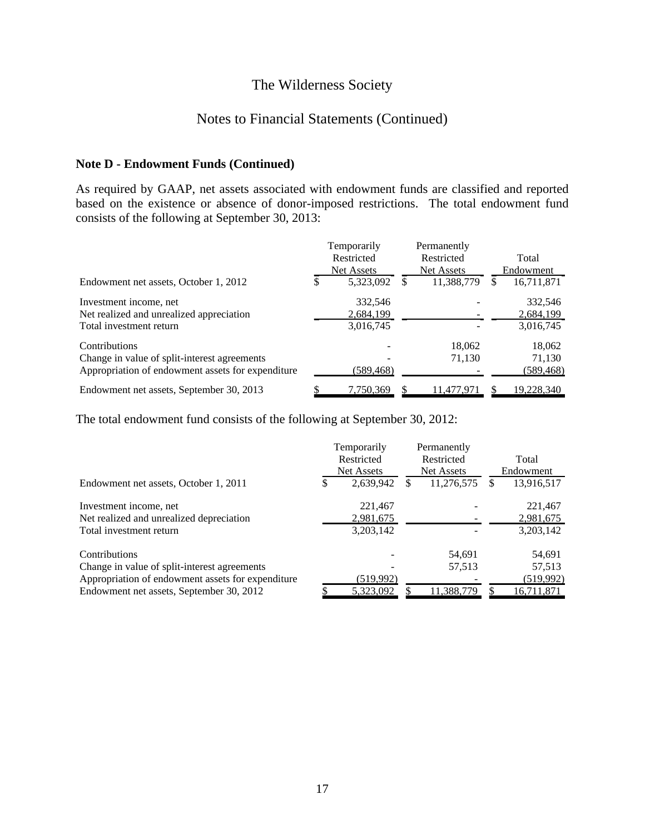# Notes to Financial Statements (Continued)

#### **Note D - Endowment Funds (Continued)**

As required by GAAP, net assets associated with endowment funds are classified and reported based on the existence or absence of donor-imposed restrictions. The total endowment fund consists of the following at September 30, 2013:

| Endowment net assets, October 1, 2012                                                                              | S | Temporarily<br>Restricted<br>Net Assets<br>5,323,092 | <b>S</b> | Permanently<br>Restricted<br>Net Assets<br>11,388,779 | \$. | Total<br>Endowment<br>16,711,871  |
|--------------------------------------------------------------------------------------------------------------------|---|------------------------------------------------------|----------|-------------------------------------------------------|-----|-----------------------------------|
| Investment income, net<br>Net realized and unrealized appreciation<br>Total investment return                      |   | 332,546<br>2,684,199<br>3,016,745                    |          |                                                       |     | 332,546<br>2,684,199<br>3,016,745 |
| Contributions<br>Change in value of split-interest agreements<br>Appropriation of endowment assets for expenditure |   | (589,468)                                            |          | 18,062<br>71,130                                      |     | 18,062<br>71,130<br>(589, 468)    |
| Endowment net assets, September 30, 2013                                                                           |   | 7,750,369                                            |          | 11,477,971                                            |     | 19,228,340                        |

The total endowment fund consists of the following at September 30, 2012:

|                                                   | Temporarily |            |  | Permanently       |   |            |
|---------------------------------------------------|-------------|------------|--|-------------------|---|------------|
|                                                   |             | Restricted |  | Restricted        |   | Total      |
|                                                   |             | Net Assets |  | <b>Net Assets</b> |   | Endowment  |
| Endowment net assets, October 1, 2011             |             | 2,639,942  |  | 11,276,575        | S | 13,916,517 |
| Investment income, net                            |             | 221,467    |  |                   |   | 221,467    |
| Net realized and unrealized depreciation          |             | 2,981,675  |  |                   |   | 2,981,675  |
| Total investment return                           |             | 3,203,142  |  |                   |   | 3,203,142  |
| Contributions                                     |             |            |  | 54,691            |   | 54,691     |
| Change in value of split-interest agreements      |             |            |  | 57,513            |   | 57,513     |
| Appropriation of endowment assets for expenditure |             | (519,992)  |  |                   |   | (519,992)  |
| Endowment net assets, September 30, 2012          |             | 5,323,092  |  | 11,388,779        |   | 16,711,871 |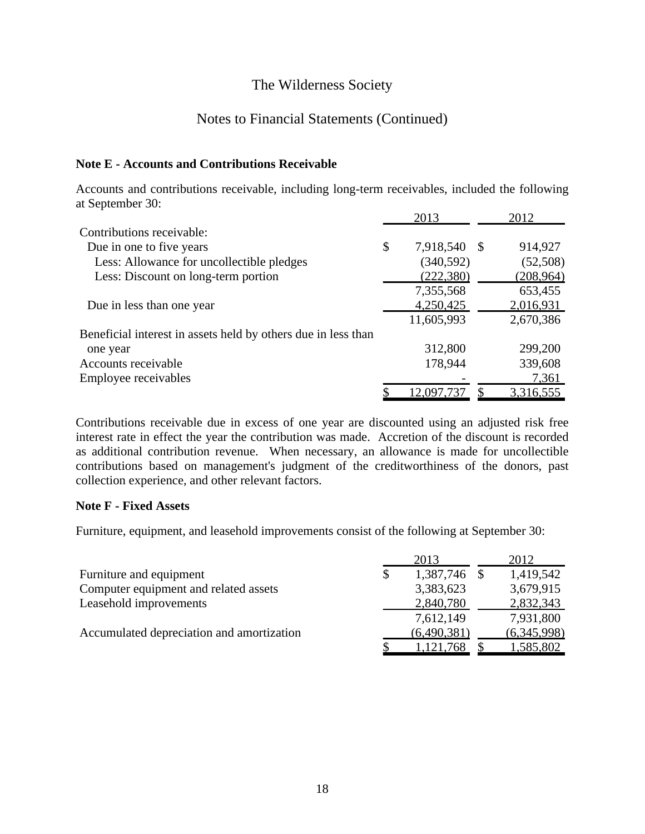# Notes to Financial Statements (Continued)

### **Note E - Accounts and Contributions Receivable**

Accounts and contributions receivable, including long-term receivables, included the following at September 30:

|                                                               | 2013 |            |    | 2012         |
|---------------------------------------------------------------|------|------------|----|--------------|
| Contributions receivable:                                     |      |            |    |              |
| Due in one to five years                                      | \$   | 7,918,540  | -S | 914,927      |
| Less: Allowance for uncollectible pledges                     |      | (340, 592) |    | (52,508)     |
| Less: Discount on long-term portion                           |      | (222, 380) |    | (208,964)    |
|                                                               |      | 7,355,568  |    | 653,455      |
| Due in less than one year                                     |      | 4,250,425  |    | 2,016,931    |
|                                                               |      | 11,605,993 |    | 2,670,386    |
| Beneficial interest in assets held by others due in less than |      |            |    |              |
| one year                                                      |      | 312,800    |    | 299,200      |
| Accounts receivable                                           |      | 178,944    |    | 339,608      |
| Employee receivables                                          |      |            |    | <u>7,361</u> |
|                                                               |      | 12,097,737 |    | 3,316,555    |

Contributions receivable due in excess of one year are discounted using an adjusted risk free interest rate in effect the year the contribution was made. Accretion of the discount is recorded as additional contribution revenue. When necessary, an allowance is made for uncollectible contributions based on management's judgment of the creditworthiness of the donors, past collection experience, and other relevant factors.

#### **Note F - Fixed Assets**

Furniture, equipment, and leasehold improvements consist of the following at September 30:

|                                           | 2013        | 2012        |
|-------------------------------------------|-------------|-------------|
| Furniture and equipment                   | 1,387,746   | 1,419,542   |
| Computer equipment and related assets     | 3,383,623   | 3,679,915   |
| Leasehold improvements                    | 2,840,780   | 2,832,343   |
|                                           | 7,612,149   | 7,931,800   |
| Accumulated depreciation and amortization | (6,490,381) | (6,345,998) |
|                                           | 1,121,768   | 1,585,802   |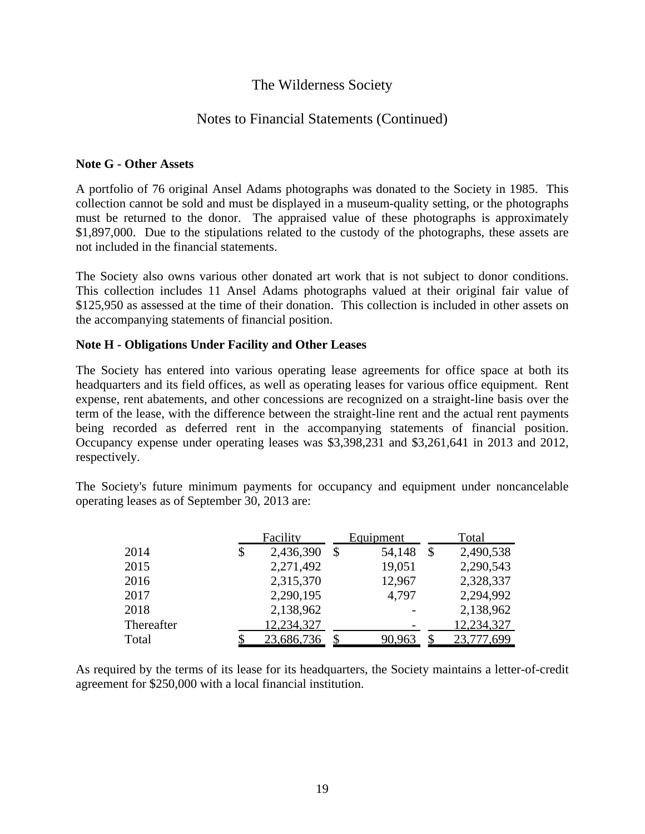## Notes to Financial Statements (Continued)

### **Note G - Other Assets**

A portfolio of 76 original Ansel Adams photographs was donated to the Society in 1985. This collection cannot be sold and must be displayed in a museum-quality setting, or the photographs must be returned to the donor. The appraised value of these photographs is approximately \$1,897,000. Due to the stipulations related to the custody of the photographs, these assets are not included in the financial statements.

The Society also owns various other donated art work that is not subject to donor conditions. This collection includes 11 Ansel Adams photographs valued at their original fair value of \$125,950 as assessed at the time of their donation. This collection is included in other assets on the accompanying statements of financial position.

### **Note H - Obligations Under Facility and Other Leases**

The Society has entered into various operating lease agreements for office space at both its headquarters and its field offices, as well as operating leases for various office equipment. Rent expense, rent abatements, and other concessions are recognized on a straight-line basis over the term of the lease, with the difference between the straight-line rent and the actual rent payments being recorded as deferred rent in the accompanying statements of financial position. Occupancy expense under operating leases was \$3,398,231 and \$3,261,641 in 2013 and 2012, respectively.

The Society's future minimum payments for occupancy and equipment under noncancelable operating leases as of September 30, 2013 are:

|            | Facility        |               | <b>Equipment</b> | Total           |
|------------|-----------------|---------------|------------------|-----------------|
| 2014       | \$<br>2,436,390 | $\mathcal{S}$ | 54,148           | \$<br>2,490,538 |
| 2015       | 2,271,492       |               | 19,051           | 2,290,543       |
| 2016       | 2,315,370       |               | 12,967           | 2,328,337       |
| 2017       | 2,290,195       |               | 4,797            | 2,294,992       |
| 2018       | 2,138,962       |               |                  | 2,138,962       |
| Thereafter | 12,234,327      |               |                  | 12,234,327      |
| Total      | 23,686,736      |               | 90,963           | 23,777,699      |

As required by the terms of its lease for its headquarters, the Society maintains a letter-of-credit agreement for \$250,000 with a local financial institution.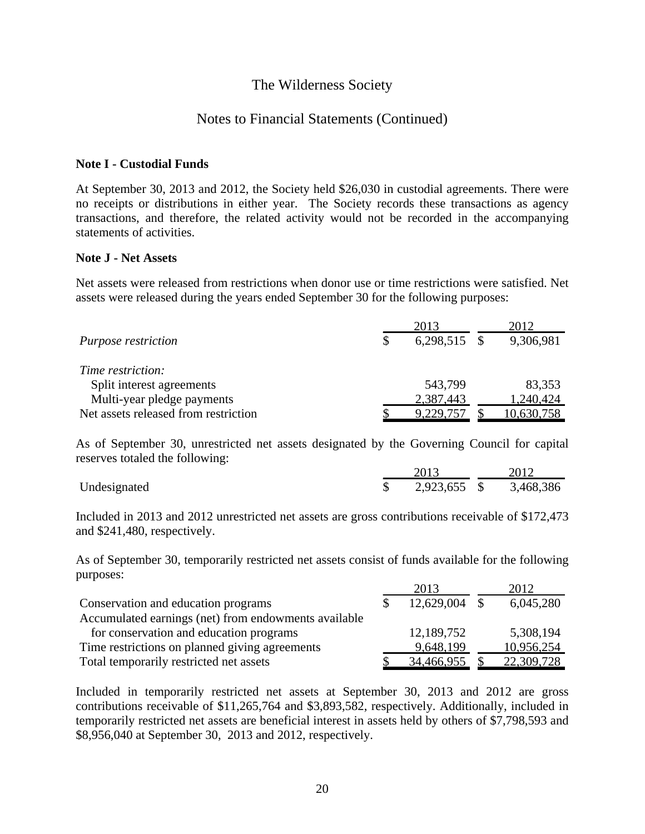### Notes to Financial Statements (Continued)

#### **Note I - Custodial Funds**

At September 30, 2013 and 2012, the Society held \$26,030 in custodial agreements. There were no receipts or distributions in either year. The Society records these transactions as agency transactions, and therefore, the related activity would not be recorded in the accompanying statements of activities.

#### **Note J - Net Assets**

Net assets were released from restrictions when donor use or time restrictions were satisfied. Net assets were released during the years ended September 30 for the following purposes:

|                                      | 2013         | 2012       |
|--------------------------------------|--------------|------------|
| <i>Purpose restriction</i>           | 6,298,515 \$ | 9,306,981  |
| Time restriction:                    |              |            |
| Split interest agreements            | 543,799      | 83,353     |
| Multi-year pledge payments           | 2,387,443    | 1,240,424  |
| Net assets released from restriction | 9,229,757    | 10,630,758 |

As of September 30, unrestricted net assets designated by the Governing Council for capital reserves totaled the following:

|              |  | 2012                                   |
|--------------|--|----------------------------------------|
| Undesignated |  | $\frac{1}{2}$ , 2,923,655 \$ 3,468,386 |

Included in 2013 and 2012 unrestricted net assets are gross contributions receivable of \$172,473 and \$241,480, respectively.

As of September 30, temporarily restricted net assets consist of funds available for the following purposes:

|                                                      | 2013 |            |          | 2012       |
|------------------------------------------------------|------|------------|----------|------------|
| Conservation and education programs                  |      | 12,629,004 | <b>S</b> | 6,045,280  |
| Accumulated earnings (net) from endowments available |      |            |          |            |
| for conservation and education programs              |      | 12,189,752 |          | 5,308,194  |
| Time restrictions on planned giving agreements       |      | 9,648,199  |          | 10,956,254 |
| Total temporarily restricted net assets              |      | 34,466,955 |          | 22,309,728 |

Included in temporarily restricted net assets at September 30, 2013 and 2012 are gross contributions receivable of \$11,265,764 and \$3,893,582, respectively. Additionally, included in temporarily restricted net assets are beneficial interest in assets held by others of \$7,798,593 and \$8,956,040 at September 30, 2013 and 2012, respectively.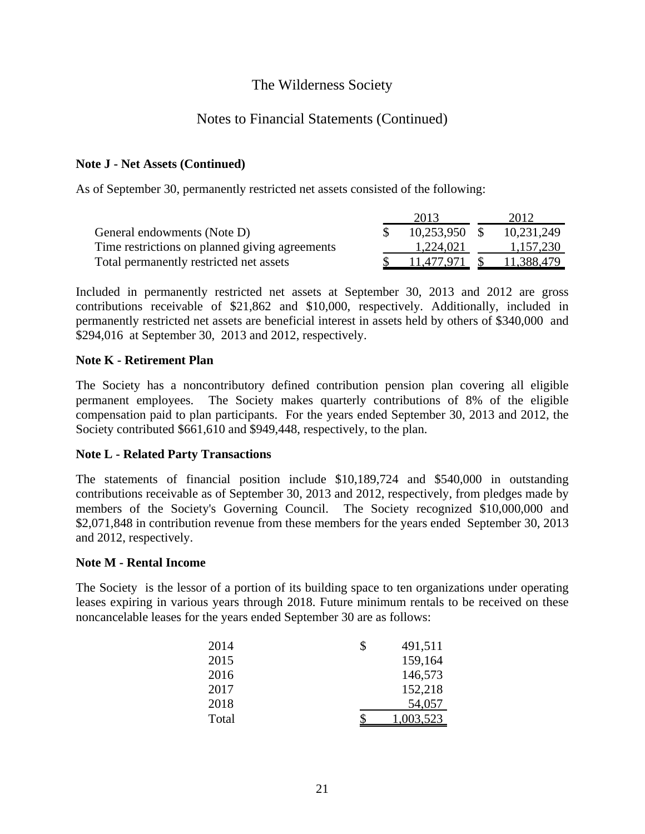# Notes to Financial Statements (Continued)

### **Note J - Net Assets (Continued)**

As of September 30, permanently restricted net assets consisted of the following:

|                                                | 2013       | 2012       |
|------------------------------------------------|------------|------------|
| General endowments (Note D)                    | 10,253,950 | 10,231,249 |
| Time restrictions on planned giving agreements | 1,224,021  | 1,157,230  |
| Total permanently restricted net assets        | 11.477.971 | 11.388.479 |

Included in permanently restricted net assets at September 30, 2013 and 2012 are gross contributions receivable of \$21,862 and \$10,000, respectively. Additionally, included in permanently restricted net assets are beneficial interest in assets held by others of \$340,000 and \$294,016 at September 30, 2013 and 2012, respectively.

### **Note K - Retirement Plan**

The Society has a noncontributory defined contribution pension plan covering all eligible permanent employees. The Society makes quarterly contributions of 8% of the eligible compensation paid to plan participants. For the years ended September 30, 2013 and 2012, the Society contributed \$661,610 and \$949,448, respectively, to the plan.

### **Note L - Related Party Transactions**

The statements of financial position include \$10,189,724 and \$540,000 in outstanding contributions receivable as of September 30, 2013 and 2012, respectively, from pledges made by members of the Society's Governing Council. The Society recognized \$10,000,000 and \$2,071,848 in contribution revenue from these members for the years ended September 30, 2013 and 2012, respectively.

### **Note M - Rental Income**

The Society is the lessor of a portion of its building space to ten organizations under operating leases expiring in various years through 2018. Future minimum rentals to be received on these noncancelable leases for the years ended September 30 are as follows:

| 2014  | \$<br>491,511 |
|-------|---------------|
| 2015  | 159,164       |
| 2016  | 146,573       |
| 2017  | 152,218       |
| 2018  | 54,057        |
| Total | 1,003,523     |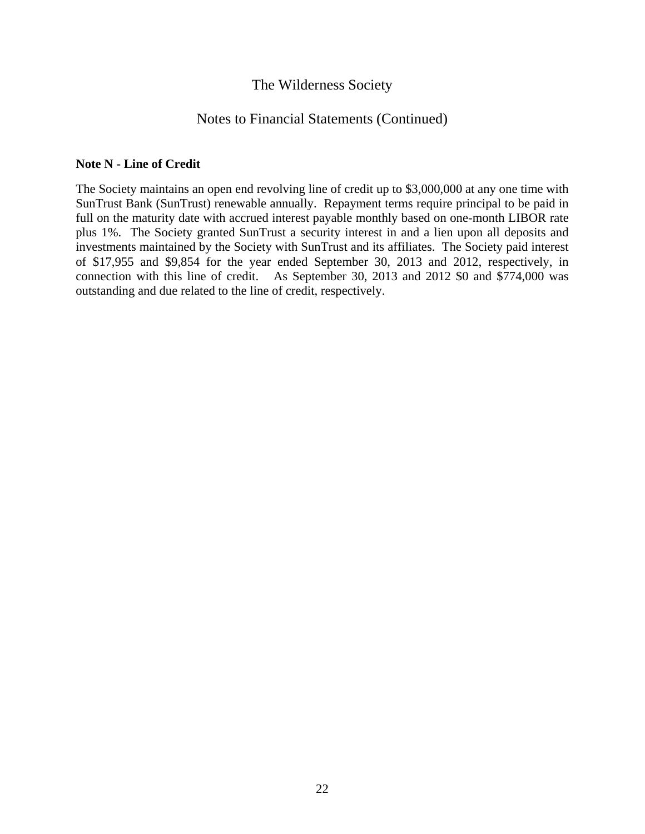## Notes to Financial Statements (Continued)

### **Note N - Line of Credit**

The Society maintains an open end revolving line of credit up to \$3,000,000 at any one time with SunTrust Bank (SunTrust) renewable annually. Repayment terms require principal to be paid in full on the maturity date with accrued interest payable monthly based on one-month LIBOR rate plus 1%. The Society granted SunTrust a security interest in and a lien upon all deposits and investments maintained by the Society with SunTrust and its affiliates. The Society paid interest of \$17,955 and \$9,854 for the year ended September 30, 2013 and 2012, respectively, in connection with this line of credit. As September 30, 2013 and 2012 \$0 and \$774,000 was outstanding and due related to the line of credit, respectively.